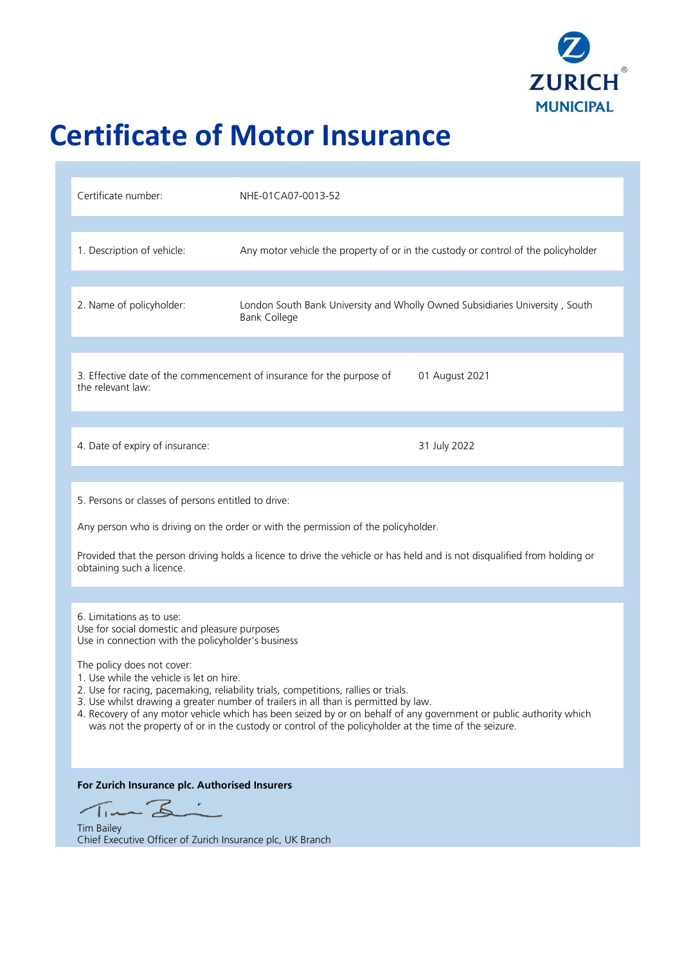

# **Certificate of Motor Insurance**

| Certificate number:                                                                                                                                                                                                                                                                                                                                                                                                                                                                                                                                                                                                    | NHE-01CA07-0013-52  |                                                                                    |
|------------------------------------------------------------------------------------------------------------------------------------------------------------------------------------------------------------------------------------------------------------------------------------------------------------------------------------------------------------------------------------------------------------------------------------------------------------------------------------------------------------------------------------------------------------------------------------------------------------------------|---------------------|------------------------------------------------------------------------------------|
| 1. Description of vehicle:                                                                                                                                                                                                                                                                                                                                                                                                                                                                                                                                                                                             |                     | Any motor vehicle the property of or in the custody or control of the policyholder |
| 2. Name of policyholder:                                                                                                                                                                                                                                                                                                                                                                                                                                                                                                                                                                                               | <b>Bank College</b> | London South Bank University and Wholly Owned Subsidiaries University, South       |
| 3. Effective date of the commencement of insurance for the purpose of<br>01 August 2021<br>the relevant law:                                                                                                                                                                                                                                                                                                                                                                                                                                                                                                           |                     |                                                                                    |
| 4. Date of expiry of insurance:                                                                                                                                                                                                                                                                                                                                                                                                                                                                                                                                                                                        |                     | 31 July 2022                                                                       |
| 5. Persons or classes of persons entitled to drive:<br>Any person who is driving on the order or with the permission of the policyholder.<br>Provided that the person driving holds a licence to drive the vehicle or has held and is not disqualified from holding or<br>obtaining such a licence.                                                                                                                                                                                                                                                                                                                    |                     |                                                                                    |
| 6. Limitations as to use:<br>Use for social domestic and pleasure purposes<br>Use in connection with the policyholder's business<br>The policy does not cover:<br>1. Use while the vehicle is let on hire.<br>2. Use for racing, pacemaking, reliability trials, competitions, rallies or trials.<br>3. Use whilst drawing a greater number of trailers in all than is permitted by law.<br>4. Recovery of any motor vehicle which has been seized by or on behalf of any government or public authority which<br>was not the property of or in the custody or control of the policyholder at the time of the seizure. |                     |                                                                                    |
| For Zurich Insurance plc. Authorised Insurers<br>TimBi<br><b>Tim Bailey</b><br>Chief Executive Officer of Zurich Insurance plc, UK Branch                                                                                                                                                                                                                                                                                                                                                                                                                                                                              |                     |                                                                                    |